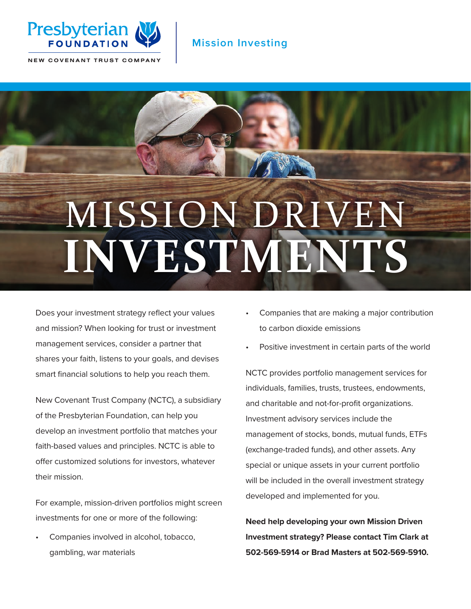

## **Mission Investing**

NEW COVENANT TRUST COMPANY

# MISSION DRI **INVESTMENTS**

Does your investment strategy reflect your values and mission? When looking for trust or investment management services, consider a partner that shares your faith, listens to your goals, and devises smart financial solutions to help you reach them.

New Covenant Trust Company (NCTC), a subsidiary of the Presbyterian Foundation, can help you develop an investment portfolio that matches your faith-based values and principles. NCTC is able to offer customized solutions for investors, whatever their mission.

For example, mission-driven portfolios might screen investments for one or more of the following:

• Companies involved in alcohol, tobacco, gambling, war materials

- Companies that are making a major contribution to carbon dioxide emissions
- Positive investment in certain parts of the world

NCTC provides portfolio management services for individuals, families, trusts, trustees, endowments, and charitable and not-for-profit organizations. Investment advisory services include the management of stocks, bonds, mutual funds, ETFs (exchange-traded funds), and other assets. Any special or unique assets in your current portfolio will be included in the overall investment strategy developed and implemented for you.

**Need help developing your own Mission Driven Investment strategy? Please contact Tim Clark at 502-569-5914 or Brad Masters at 502-569-5910.**